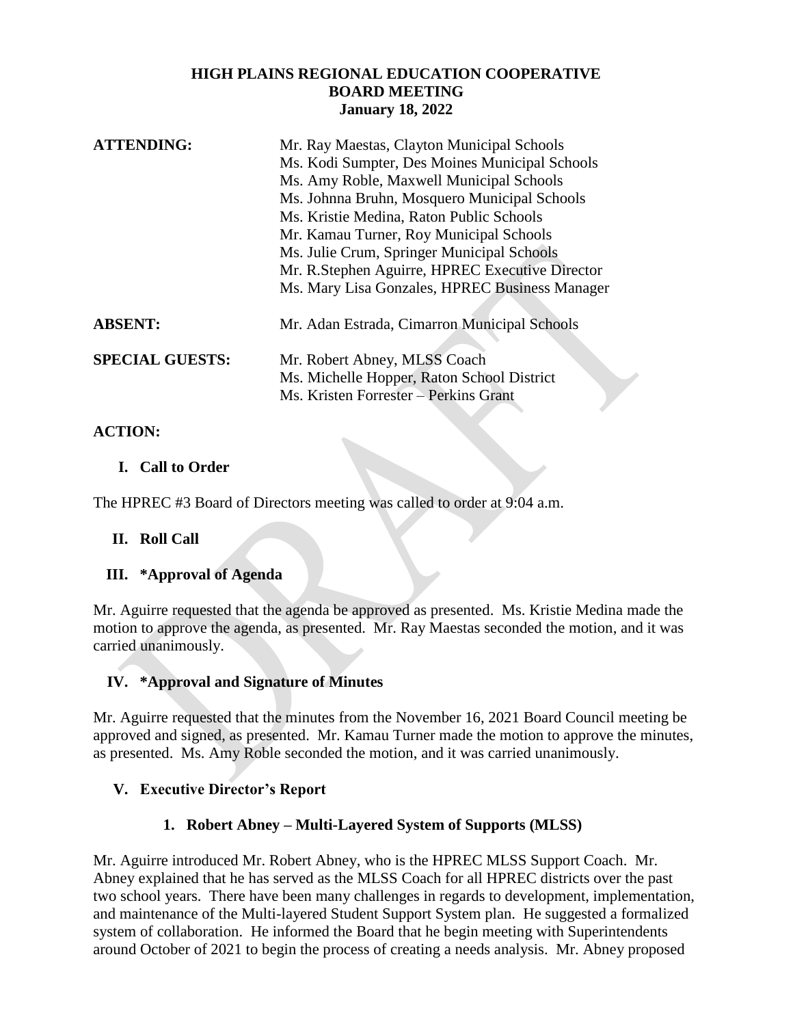#### **HIGH PLAINS REGIONAL EDUCATION COOPERATIVE BOARD MEETING January 18, 2022**

| <b>ATTENDING:</b>      | Mr. Ray Maestas, Clayton Municipal Schools      |
|------------------------|-------------------------------------------------|
|                        | Ms. Kodi Sumpter, Des Moines Municipal Schools  |
|                        | Ms. Amy Roble, Maxwell Municipal Schools        |
|                        | Ms. Johnna Bruhn, Mosquero Municipal Schools    |
|                        | Ms. Kristie Medina, Raton Public Schools        |
|                        | Mr. Kamau Turner, Roy Municipal Schools         |
|                        | Ms. Julie Crum, Springer Municipal Schools      |
|                        | Mr. R.Stephen Aguirre, HPREC Executive Director |
|                        | Ms. Mary Lisa Gonzales, HPREC Business Manager  |
| <b>ABSENT:</b>         | Mr. Adan Estrada, Cimarron Municipal Schools    |
| <b>SPECIAL GUESTS:</b> | Mr. Robert Abney, MLSS Coach                    |
|                        | Ms. Michelle Hopper, Raton School District      |
|                        | Ms. Kristen Forrester - Perkins Grant           |

## **ACTION:**

## **I. Call to Order**

The HPREC #3 Board of Directors meeting was called to order at 9:04 a.m.

**II. Roll Call**

## **III. \*Approval of Agenda**

Mr. Aguirre requested that the agenda be approved as presented. Ms. Kristie Medina made the motion to approve the agenda, as presented. Mr. Ray Maestas seconded the motion, and it was carried unanimously.

## **IV. \*Approval and Signature of Minutes**

Mr. Aguirre requested that the minutes from the November 16, 2021 Board Council meeting be approved and signed, as presented. Mr. Kamau Turner made the motion to approve the minutes, as presented. Ms. Amy Roble seconded the motion, and it was carried unanimously.

# **V. Executive Director's Report**

# **1. Robert Abney – Multi-Layered System of Supports (MLSS)**

Mr. Aguirre introduced Mr. Robert Abney, who is the HPREC MLSS Support Coach. Mr. Abney explained that he has served as the MLSS Coach for all HPREC districts over the past two school years. There have been many challenges in regards to development, implementation, and maintenance of the Multi-layered Student Support System plan. He suggested a formalized system of collaboration. He informed the Board that he begin meeting with Superintendents around October of 2021 to begin the process of creating a needs analysis. Mr. Abney proposed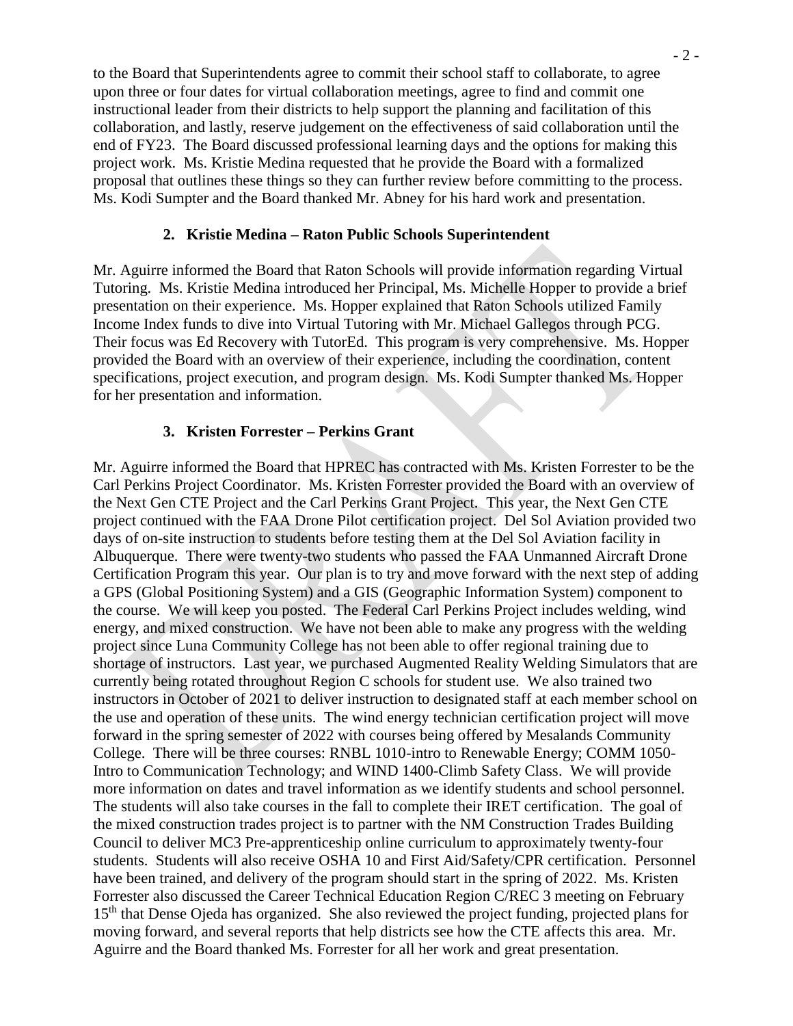to the Board that Superintendents agree to commit their school staff to collaborate, to agree upon three or four dates for virtual collaboration meetings, agree to find and commit one instructional leader from their districts to help support the planning and facilitation of this collaboration, and lastly, reserve judgement on the effectiveness of said collaboration until the end of FY23. The Board discussed professional learning days and the options for making this project work. Ms. Kristie Medina requested that he provide the Board with a formalized proposal that outlines these things so they can further review before committing to the process. Ms. Kodi Sumpter and the Board thanked Mr. Abney for his hard work and presentation.

#### **2. Kristie Medina – Raton Public Schools Superintendent**

Mr. Aguirre informed the Board that Raton Schools will provide information regarding Virtual Tutoring. Ms. Kristie Medina introduced her Principal, Ms. Michelle Hopper to provide a brief presentation on their experience. Ms. Hopper explained that Raton Schools utilized Family Income Index funds to dive into Virtual Tutoring with Mr. Michael Gallegos through PCG. Their focus was Ed Recovery with TutorEd. This program is very comprehensive. Ms. Hopper provided the Board with an overview of their experience, including the coordination, content specifications, project execution, and program design. Ms. Kodi Sumpter thanked Ms. Hopper for her presentation and information.

#### **3. Kristen Forrester – Perkins Grant**

Mr. Aguirre informed the Board that HPREC has contracted with Ms. Kristen Forrester to be the Carl Perkins Project Coordinator. Ms. Kristen Forrester provided the Board with an overview of the Next Gen CTE Project and the Carl Perkins Grant Project. This year, the Next Gen CTE project continued with the FAA Drone Pilot certification project. Del Sol Aviation provided two days of on-site instruction to students before testing them at the Del Sol Aviation facility in Albuquerque. There were twenty-two students who passed the FAA Unmanned Aircraft Drone Certification Program this year. Our plan is to try and move forward with the next step of adding a GPS (Global Positioning System) and a GIS (Geographic Information System) component to the course. We will keep you posted. The Federal Carl Perkins Project includes welding, wind energy, and mixed construction. We have not been able to make any progress with the welding project since Luna Community College has not been able to offer regional training due to shortage of instructors. Last year, we purchased Augmented Reality Welding Simulators that are currently being rotated throughout Region C schools for student use. We also trained two instructors in October of 2021 to deliver instruction to designated staff at each member school on the use and operation of these units. The wind energy technician certification project will move forward in the spring semester of 2022 with courses being offered by Mesalands Community College. There will be three courses: RNBL 1010-intro to Renewable Energy; COMM 1050- Intro to Communication Technology; and WIND 1400-Climb Safety Class. We will provide more information on dates and travel information as we identify students and school personnel. The students will also take courses in the fall to complete their IRET certification. The goal of the mixed construction trades project is to partner with the NM Construction Trades Building Council to deliver MC3 Pre-apprenticeship online curriculum to approximately twenty-four students. Students will also receive OSHA 10 and First Aid/Safety/CPR certification. Personnel have been trained, and delivery of the program should start in the spring of 2022. Ms. Kristen Forrester also discussed the Career Technical Education Region C/REC 3 meeting on February 15th that Dense Ojeda has organized. She also reviewed the project funding, projected plans for moving forward, and several reports that help districts see how the CTE affects this area. Mr. Aguirre and the Board thanked Ms. Forrester for all her work and great presentation.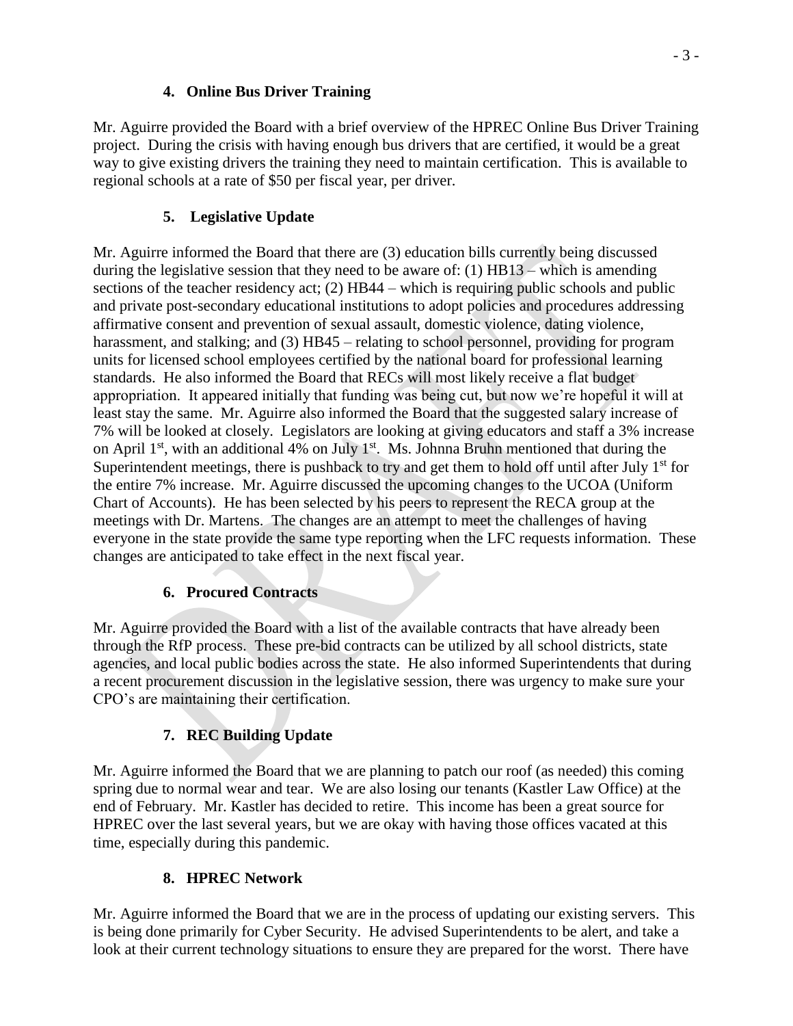#### **4. Online Bus Driver Training**

Mr. Aguirre provided the Board with a brief overview of the HPREC Online Bus Driver Training project. During the crisis with having enough bus drivers that are certified, it would be a great way to give existing drivers the training they need to maintain certification. This is available to regional schools at a rate of \$50 per fiscal year, per driver.

# **5. Legislative Update**

Mr. Aguirre informed the Board that there are (3) education bills currently being discussed during the legislative session that they need to be aware of: (1) HB13 – which is amending sections of the teacher residency act; (2) HB44 – which is requiring public schools and public and private post-secondary educational institutions to adopt policies and procedures addressing affirmative consent and prevention of sexual assault, domestic violence, dating violence, harassment, and stalking; and (3) HB45 – relating to school personnel, providing for program units for licensed school employees certified by the national board for professional learning standards. He also informed the Board that RECs will most likely receive a flat budget appropriation. It appeared initially that funding was being cut, but now we're hopeful it will at least stay the same. Mr. Aguirre also informed the Board that the suggested salary increase of 7% will be looked at closely. Legislators are looking at giving educators and staff a 3% increase on April  $1<sup>st</sup>$ , with an additional 4% on July  $1<sup>st</sup>$ . Ms. Johnna Bruhn mentioned that during the Superintendent meetings, there is pushback to try and get them to hold off until after July  $1<sup>st</sup>$  for the entire 7% increase. Mr. Aguirre discussed the upcoming changes to the UCOA (Uniform Chart of Accounts). He has been selected by his peers to represent the RECA group at the meetings with Dr. Martens. The changes are an attempt to meet the challenges of having everyone in the state provide the same type reporting when the LFC requests information. These changes are anticipated to take effect in the next fiscal year.

# **6. Procured Contracts**

Mr. Aguirre provided the Board with a list of the available contracts that have already been through the RfP process. These pre-bid contracts can be utilized by all school districts, state agencies, and local public bodies across the state. He also informed Superintendents that during a recent procurement discussion in the legislative session, there was urgency to make sure your CPO's are maintaining their certification.

# **7. REC Building Update**

Mr. Aguirre informed the Board that we are planning to patch our roof (as needed) this coming spring due to normal wear and tear. We are also losing our tenants (Kastler Law Office) at the end of February. Mr. Kastler has decided to retire. This income has been a great source for HPREC over the last several years, but we are okay with having those offices vacated at this time, especially during this pandemic.

# **8. HPREC Network**

Mr. Aguirre informed the Board that we are in the process of updating our existing servers. This is being done primarily for Cyber Security. He advised Superintendents to be alert, and take a look at their current technology situations to ensure they are prepared for the worst. There have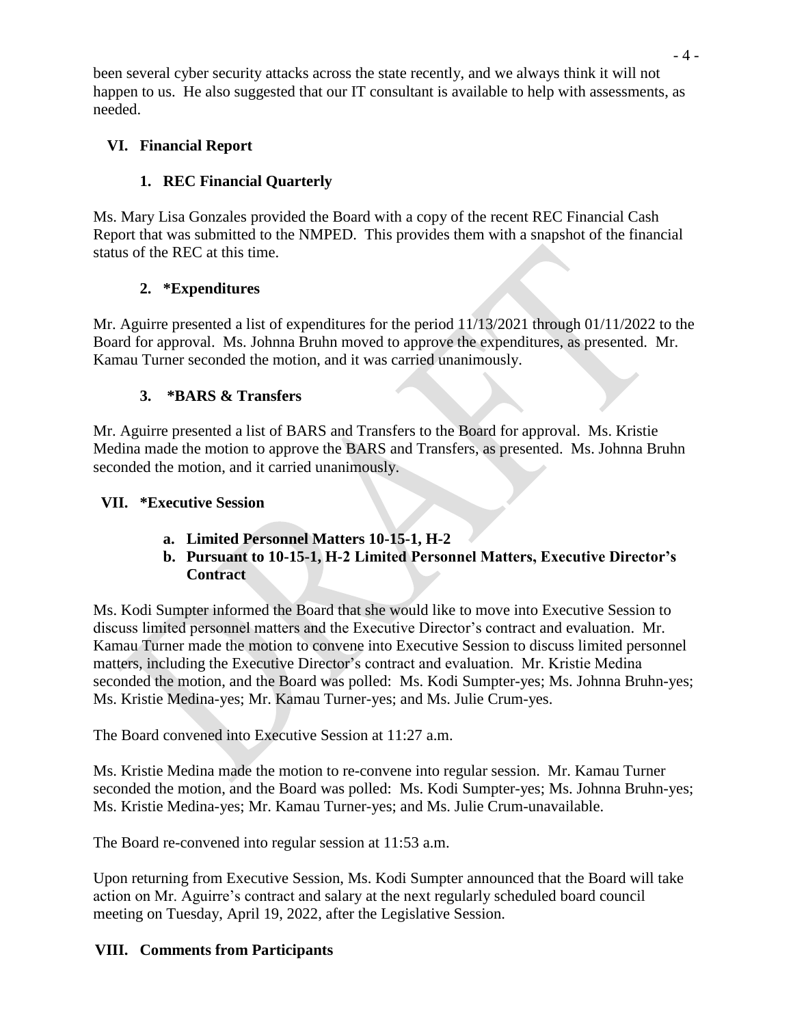been several cyber security attacks across the state recently, and we always think it will not happen to us. He also suggested that our IT consultant is available to help with assessments, as needed.

## **VI. Financial Report**

# **1. REC Financial Quarterly**

Ms. Mary Lisa Gonzales provided the Board with a copy of the recent REC Financial Cash Report that was submitted to the NMPED. This provides them with a snapshot of the financial status of the REC at this time.

## **2. \*Expenditures**

Mr. Aguirre presented a list of expenditures for the period 11/13/2021 through 01/11/2022 to the Board for approval. Ms. Johnna Bruhn moved to approve the expenditures, as presented. Mr. Kamau Turner seconded the motion, and it was carried unanimously.

## **3. \*BARS & Transfers**

Mr. Aguirre presented a list of BARS and Transfers to the Board for approval. Ms. Kristie Medina made the motion to approve the BARS and Transfers, as presented. Ms. Johnna Bruhn seconded the motion, and it carried unanimously.

## **VII. \*Executive Session**

- **a. Limited Personnel Matters 10-15-1, H-2**
- **b. Pursuant to 10-15-1, H-2 Limited Personnel Matters, Executive Director's Contract**

Ms. Kodi Sumpter informed the Board that she would like to move into Executive Session to discuss limited personnel matters and the Executive Director's contract and evaluation. Mr. Kamau Turner made the motion to convene into Executive Session to discuss limited personnel matters, including the Executive Director's contract and evaluation. Mr. Kristie Medina seconded the motion, and the Board was polled: Ms. Kodi Sumpter-yes; Ms. Johnna Bruhn-yes; Ms. Kristie Medina-yes; Mr. Kamau Turner-yes; and Ms. Julie Crum-yes.

The Board convened into Executive Session at 11:27 a.m.

Ms. Kristie Medina made the motion to re-convene into regular session. Mr. Kamau Turner seconded the motion, and the Board was polled: Ms. Kodi Sumpter-yes; Ms. Johnna Bruhn-yes; Ms. Kristie Medina-yes; Mr. Kamau Turner-yes; and Ms. Julie Crum-unavailable.

The Board re-convened into regular session at 11:53 a.m.

Upon returning from Executive Session, Ms. Kodi Sumpter announced that the Board will take action on Mr. Aguirre's contract and salary at the next regularly scheduled board council meeting on Tuesday, April 19, 2022, after the Legislative Session.

## **VIII. Comments from Participants**